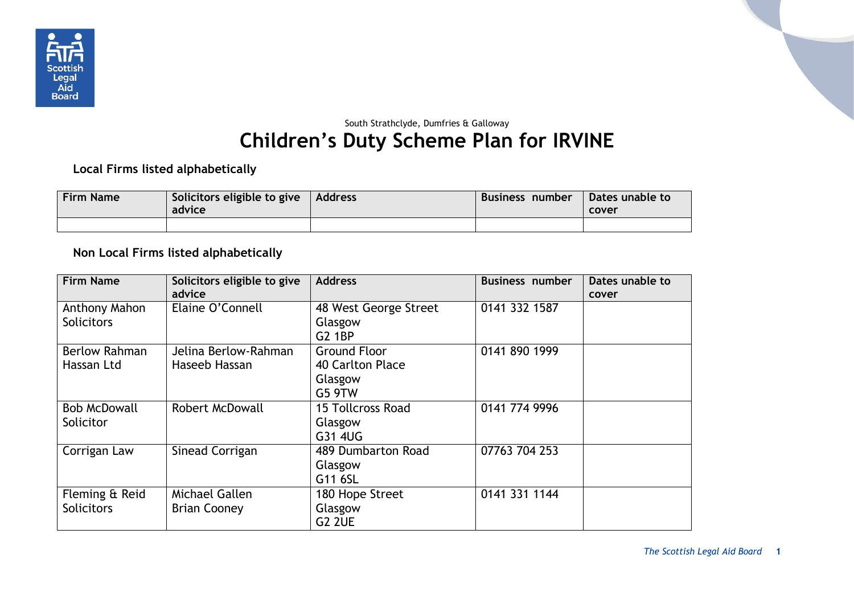

## South Strathclyde, Dumfries & Galloway **Children's Duty Scheme Plan for IRVINE**

**Local Firms listed alphabetically**

| <b>Firm Name</b> | Solicitors eligible to give<br>advice | Address | <b>Business number</b> | Dates unable to<br>cover |
|------------------|---------------------------------------|---------|------------------------|--------------------------|
|                  |                                       |         |                        |                          |

## **Non Local Firms listed alphabetically**

| <b>Firm Name</b>                    | Solicitors eligible to give<br>advice | <b>Address</b>                                               | <b>Business number</b> | Dates unable to<br>cover |
|-------------------------------------|---------------------------------------|--------------------------------------------------------------|------------------------|--------------------------|
| Anthony Mahon<br><b>Solicitors</b>  | Elaine O'Connell                      | 48 West George Street<br>Glasgow<br><b>G2 1BP</b>            | 0141 332 1587          |                          |
| <b>Berlow Rahman</b><br>Hassan Ltd  | Jelina Berlow-Rahman<br>Haseeb Hassan | <b>Ground Floor</b><br>40 Carlton Place<br>Glasgow<br>G5 9TW | 0141 890 1999          |                          |
| <b>Bob McDowall</b><br>Solicitor    | <b>Robert McDowall</b>                | 15 Tollcross Road<br>Glasgow<br>G31 4UG                      | 0141 774 9996          |                          |
| Corrigan Law                        | Sinead Corrigan                       | 489 Dumbarton Road<br>Glasgow<br>G11 6SL                     | 07763 704 253          |                          |
| Fleming & Reid<br><b>Solicitors</b> | Michael Gallen<br><b>Brian Cooney</b> | 180 Hope Street<br>Glasgow<br>G <sub>2</sub> 2UE             | 0141 331 1144          |                          |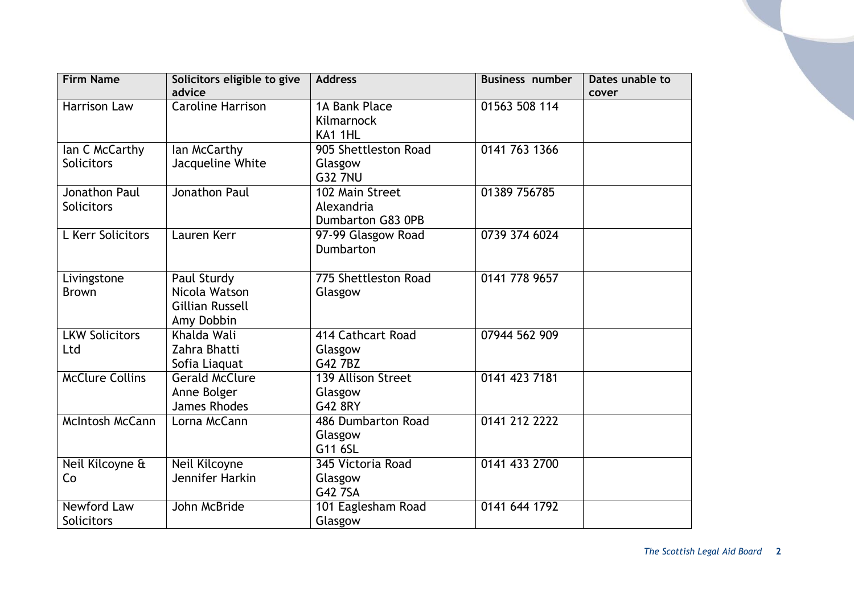| <b>Firm Name</b>       | Solicitors eligible to give | <b>Address</b>       | <b>Business number</b> | Dates unable to |
|------------------------|-----------------------------|----------------------|------------------------|-----------------|
|                        | advice                      |                      |                        | cover           |
| <b>Harrison Law</b>    | <b>Caroline Harrison</b>    | 1A Bank Place        | 01563 508 114          |                 |
|                        |                             | Kilmarnock           |                        |                 |
|                        |                             | KA1 1HL              |                        |                 |
| lan C McCarthy         | lan McCarthy                | 905 Shettleston Road | 0141 763 1366          |                 |
| <b>Solicitors</b>      | Jacqueline White            | Glasgow              |                        |                 |
|                        |                             | <b>G32 7NU</b>       |                        |                 |
| <b>Jonathon Paul</b>   | Jonathon Paul               | 102 Main Street      | 01389 756785           |                 |
| <b>Solicitors</b>      |                             | Alexandria           |                        |                 |
|                        |                             | Dumbarton G83 0PB    |                        |                 |
| L Kerr Solicitors      | Lauren Kerr                 | 97-99 Glasgow Road   | 0739 374 6024          |                 |
|                        |                             | Dumbarton            |                        |                 |
|                        |                             |                      |                        |                 |
| Livingstone            | Paul Sturdy                 | 775 Shettleston Road | 0141 778 9657          |                 |
| <b>Brown</b>           | Nicola Watson               | Glasgow              |                        |                 |
|                        | <b>Gillian Russell</b>      |                      |                        |                 |
|                        | Amy Dobbin                  |                      |                        |                 |
| <b>LKW Solicitors</b>  | Khalda Wali                 | 414 Cathcart Road    | 07944 562 909          |                 |
| Ltd                    | Zahra Bhatti                | Glasgow              |                        |                 |
|                        | Sofia Liaquat               | G42 7BZ              |                        |                 |
| <b>McClure Collins</b> | <b>Gerald McClure</b>       | 139 Allison Street   | 0141 423 7181          |                 |
|                        | Anne Bolger                 | Glasgow              |                        |                 |
|                        | <b>James Rhodes</b>         | G42 8RY              |                        |                 |
| <b>McIntosh McCann</b> | Lorna McCann                | 486 Dumbarton Road   | 0141 212 2222          |                 |
|                        |                             | Glasgow              |                        |                 |
|                        |                             | G11 6SL              |                        |                 |
| Neil Kilcoyne &        | Neil Kilcoyne               | 345 Victoria Road    | 0141 433 2700          |                 |
| Co                     | Jennifer Harkin             | Glasgow              |                        |                 |
|                        |                             | G42 7SA              |                        |                 |
| <b>Newford Law</b>     | John McBride                | 101 Eaglesham Road   | 0141 644 1792          |                 |
| Solicitors             |                             | Glasgow              |                        |                 |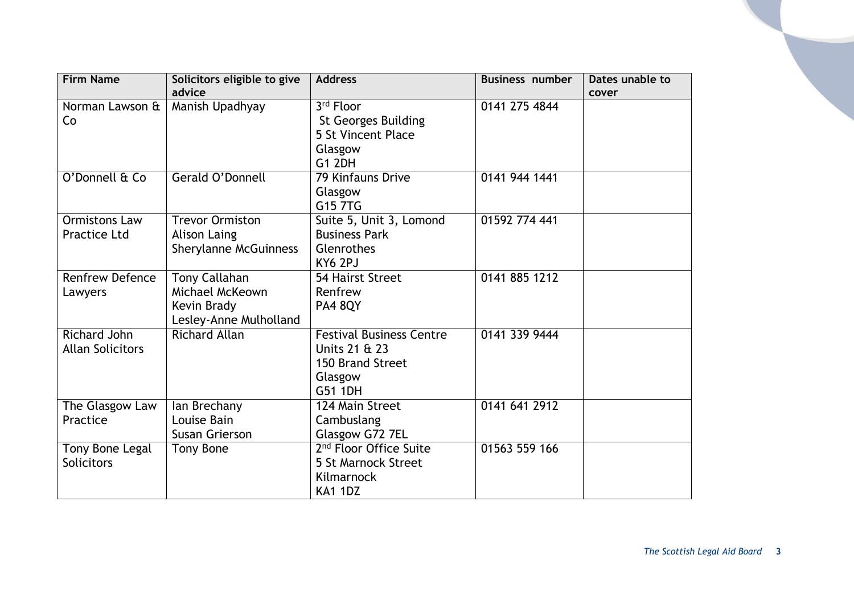| <b>Firm Name</b>        | Solicitors eligible to give  | <b>Address</b>                     | <b>Business number</b> | Dates unable to |
|-------------------------|------------------------------|------------------------------------|------------------------|-----------------|
|                         | advice                       |                                    |                        | cover           |
| Norman Lawson &         | Manish Upadhyay              | 3rd Floor                          | 0141 275 4844          |                 |
| Co                      |                              | <b>St Georges Building</b>         |                        |                 |
|                         |                              | <b>5 St Vincent Place</b>          |                        |                 |
|                         |                              | Glasgow                            |                        |                 |
|                         |                              | <b>G1 2DH</b>                      |                        |                 |
| O'Donnell & Co          | Gerald O'Donnell             | 79 Kinfauns Drive                  | 0141 944 1441          |                 |
|                         |                              | Glasgow                            |                        |                 |
|                         |                              | G15 7TG                            |                        |                 |
| <b>Ormistons Law</b>    | <b>Trevor Ormiston</b>       | Suite 5, Unit 3, Lomond            | 01592 774 441          |                 |
| <b>Practice Ltd</b>     | Alison Laing                 | <b>Business Park</b>               |                        |                 |
|                         |                              |                                    |                        |                 |
|                         | <b>Sherylanne McGuinness</b> | Glenrothes                         |                        |                 |
|                         |                              | KY6 2PJ                            |                        |                 |
| <b>Renfrew Defence</b>  | <b>Tony Callahan</b>         | 54 Hairst Street                   | 0141 885 1212          |                 |
| Lawyers                 | Michael McKeown              | Renfrew                            |                        |                 |
|                         | Kevin Brady                  | <b>PA4 8QY</b>                     |                        |                 |
|                         | Lesley-Anne Mulholland       |                                    |                        |                 |
| Richard John            | <b>Richard Allan</b>         | <b>Festival Business Centre</b>    | 0141 339 9444          |                 |
| <b>Allan Solicitors</b> |                              | Units 21 & 23                      |                        |                 |
|                         |                              | 150 Brand Street                   |                        |                 |
|                         |                              | Glasgow                            |                        |                 |
|                         |                              | G51 1DH                            |                        |                 |
| The Glasgow Law         | lan Brechany                 | 124 Main Street                    | 0141 641 2912          |                 |
| Practice                | Louise Bain                  | Cambuslang                         |                        |                 |
|                         | Susan Grierson               | Glasgow G72 7EL                    |                        |                 |
| Tony Bone Legal         | <b>Tony Bone</b>             | 2 <sup>nd</sup> Floor Office Suite | 01563 559 166          |                 |
| <b>Solicitors</b>       |                              | 5 St Marnock Street                |                        |                 |
|                         |                              | Kilmarnock                         |                        |                 |
|                         |                              | <b>KA1 1DZ</b>                     |                        |                 |